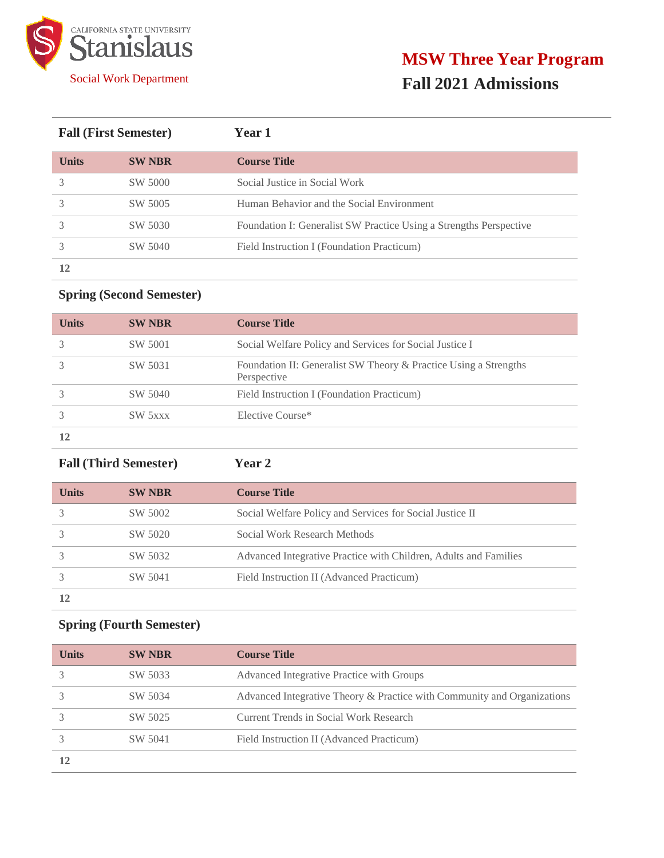

| <b>Fall (First Semester)</b> |               | <b>Year 1</b>                                                      |  |
|------------------------------|---------------|--------------------------------------------------------------------|--|
| <b>Units</b>                 | <b>SW NBR</b> | <b>Course Title</b>                                                |  |
|                              | SW 5000       | Social Justice in Social Work                                      |  |
|                              | SW 5005       | Human Behavior and the Social Environment                          |  |
|                              | SW 5030       | Foundation I: Generalist SW Practice Using a Strengths Perspective |  |
|                              | SW 5040       | Field Instruction I (Foundation Practicum)                         |  |
| 12                           |               |                                                                    |  |

# **Spring (Second Semester)**

| <b>Units</b> | <b>SW NBR</b> | <b>Course Title</b>                                                             |
|--------------|---------------|---------------------------------------------------------------------------------|
|              | SW 5001       | Social Welfare Policy and Services for Social Justice I                         |
|              | SW 5031       | Foundation II: Generalist SW Theory & Practice Using a Strengths<br>Perspective |
|              | SW 5040       | Field Instruction I (Foundation Practicum)                                      |
|              | SW 5xxx       | Elective Course*                                                                |
|              |               |                                                                                 |

**Fall (Third Semester) Year 2**

| <b>Units</b> | <b>SW NBR</b> | <b>Course Title</b>                                              |
|--------------|---------------|------------------------------------------------------------------|
|              | SW 5002       | Social Welfare Policy and Services for Social Justice II         |
|              | SW 5020       | Social Work Research Methods                                     |
|              | SW 5032       | Advanced Integrative Practice with Children, Adults and Families |
|              | SW 5041       | Field Instruction II (Advanced Practicum)                        |
|              |               |                                                                  |

# **Spring (Fourth Semester)**

| <b>Units</b> | <b>SW NBR</b> | <b>Course Title</b>                                                     |
|--------------|---------------|-------------------------------------------------------------------------|
|              | SW 5033       | Advanced Integrative Practice with Groups                               |
|              | SW 5034       | Advanced Integrative Theory & Practice with Community and Organizations |
|              | SW 5025       | Current Trends in Social Work Research                                  |
|              | SW 5041       | Field Instruction II (Advanced Practicum)                               |
|              |               |                                                                         |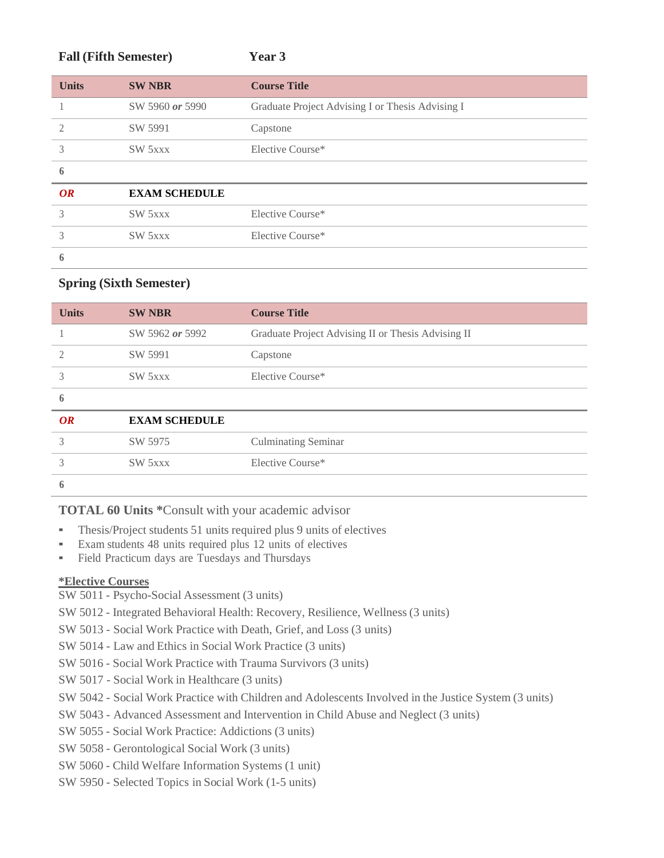| <b>Fall (Fifth Semester)</b> |                      | Year 3                                           |
|------------------------------|----------------------|--------------------------------------------------|
| <b>Units</b>                 | <b>SW NBR</b>        | <b>Course Title</b>                              |
|                              | SW 5960 or 5990      | Graduate Project Advising I or Thesis Advising I |
| $\mathfrak{D}$               | SW 5991              | Capstone                                         |
| 3                            | SW 5xxx              | Elective Course*                                 |
| 6                            |                      |                                                  |
| OR                           | <b>EXAM SCHEDULE</b> |                                                  |
| 3                            | SW 5xxx              | Elective Course*                                 |
| 3                            | SW 5xxx              | Elective Course*                                 |
| 6                            |                      |                                                  |

### **Spring (Sixth Semester)**

| <b>Units</b>   | <b>SW NBR</b>        | <b>Course Title</b>                                |
|----------------|----------------------|----------------------------------------------------|
|                | SW 5962 or 5992      | Graduate Project Advising II or Thesis Advising II |
| $\mathfrak{D}$ | SW 5991              | Capstone                                           |
| 3              | SW 5xxx              | Elective Course*                                   |
| 6              |                      |                                                    |
| <b>OR</b>      | <b>EXAM SCHEDULE</b> |                                                    |
| 3              | SW 5975              | <b>Culminating Seminar</b>                         |
| 3              | SW 5xxx              | Elective Course*                                   |
| 6              |                      |                                                    |

**TOTAL 60 Units \***Consult with your academic advisor

- Thesis/Project students 51 units required plus 9 units of electives
- Exam students 48 units required plus 12 units of electives
- Field Practicum days are Tuesdays and Thursdays

## **\*Elective Courses**

SW 5011 - Psycho-Social Assessment (3 units)

SW 5012 - Integrated Behavioral Health: Recovery, Resilience, Wellness (3 units)

SW 5013 - Social Work Practice with Death, Grief, and Loss (3 units)

SW 5014 - Law and Ethics in Social Work Practice (3 units)

SW 5016 - Social Work Practice with Trauma Survivors (3 units)

- SW 5017 Social Work in Healthcare (3 units)
- SW 5042 Social Work Practice with Children and Adolescents Involved in the Justice System (3 units)
- SW 5043 Advanced Assessment and Intervention in Child Abuse and Neglect (3 units)
- SW 5055 Social Work Practice: Addictions (3 units)
- SW 5058 Gerontological Social Work (3 units)
- SW 5060 Child Welfare Information Systems (1 unit)
- SW 5950 Selected Topics in Social Work (1-5 units)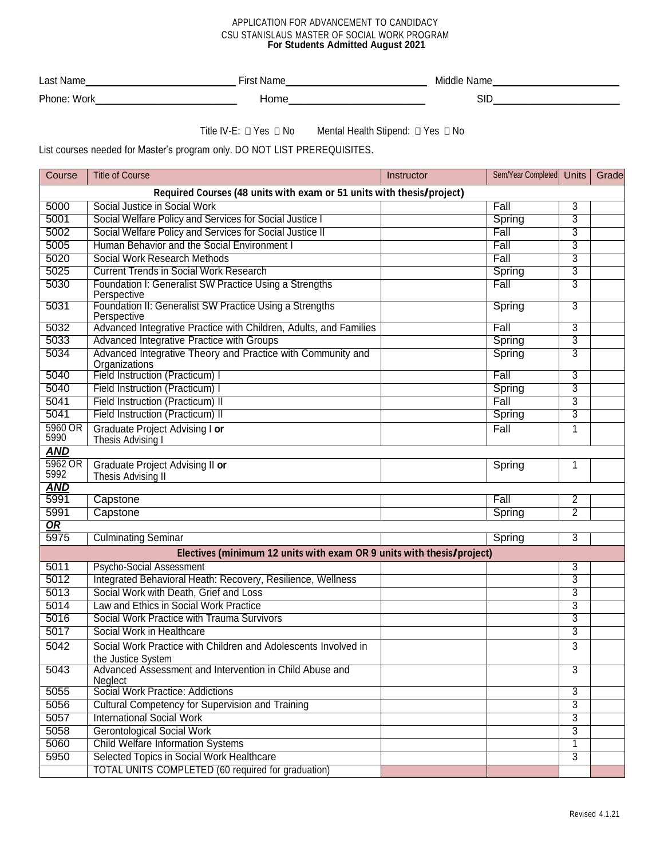#### APPLICATION FOR ADVANCEMENT TO CANDIDACY CSU STANISLAUS MASTER OF SOCIAL WORK PROGRAM **For Students Admitted August 2021**

| ∟as*<br>Пt           | וה<br>ш<br><b>NGLI</b> | Middle<br>'Nar<br>шс |
|----------------------|------------------------|----------------------|
| Phor.<br>W∩r<br>ווטו | .<br>Home              | SIL                  |

Title IV-E:  $\Box$  Yes  $\Box$  No Mental Health Stipend:  $\Box$  Yes  $\Box$  No

List courses needed for Master's program only. DO NOT LIST PREREQUISITES.

| Course                                                                | <b>Title of Course</b>                                                                                 | Instructor | Sem/Year Completed | <b>Units</b>   | Grade |  |
|-----------------------------------------------------------------------|--------------------------------------------------------------------------------------------------------|------------|--------------------|----------------|-------|--|
| Required Courses (48 units with exam or 51 units with thesis/project) |                                                                                                        |            |                    |                |       |  |
| 5000                                                                  | Social Justice in Social Work                                                                          |            | Fall               | 3              |       |  |
| 5001                                                                  | Social Welfare Policy and Services for Social Justice I                                                |            | Spring             | 3              |       |  |
| 5002                                                                  | Social Welfare Policy and Services for Social Justice II                                               |            | Fall               | 3              |       |  |
| 5005                                                                  | Human Behavior and the Social Environment I                                                            |            | Fall               | 3              |       |  |
| 5020                                                                  | Social Work Research Methods                                                                           |            | Fall               | 3              |       |  |
| 5025                                                                  | <b>Current Trends in Social Work Research</b>                                                          |            | Spring             | 3              |       |  |
| 5030                                                                  | Foundation I: Generalist SW Practice Using a Strengths<br>Perspective                                  |            | Fall               | 3              |       |  |
| 5031                                                                  | Foundation II: Generalist SW Practice Using a Strengths<br>Perspective                                 |            | Spring             | 3              |       |  |
| 5032                                                                  | Advanced Integrative Practice with Children, Adults, and Families                                      |            | Fall               | 3              |       |  |
| 5033                                                                  | Advanced Integrative Practice with Groups                                                              |            | Spring             | 3              |       |  |
| 5034                                                                  | Advanced Integrative Theory and Practice with Community and<br>Organizations                           |            | Spring             | 3              |       |  |
| 5040                                                                  | Field Instruction (Practicum) I                                                                        |            | Fall               | 3              |       |  |
| 5040                                                                  | Field Instruction (Practicum) I                                                                        |            | Spring             | 3              |       |  |
| 5041                                                                  | Field Instruction (Practicum) II                                                                       |            | Fall               | 3              |       |  |
| 5041                                                                  | <b>Field Instruction (Practicum) II</b>                                                                |            | Spring             | 3              |       |  |
| 5960 OR<br>5990                                                       | Graduate Project Advising I or<br>Thesis Advising I                                                    |            | Fall               | 1              |       |  |
| <b>AND</b>                                                            |                                                                                                        |            |                    |                |       |  |
| 5962 OR<br>5992                                                       | Graduate Project Advising II or<br>Thesis Advising II                                                  |            | Spring             | 1              |       |  |
| <b>AND</b>                                                            |                                                                                                        |            |                    |                |       |  |
| 5991                                                                  | Capstone                                                                                               |            | Fall               | 2              |       |  |
| 5991                                                                  | Capstone                                                                                               |            | Spring             | $\overline{2}$ |       |  |
| <u>OR</u>                                                             |                                                                                                        |            |                    |                |       |  |
|                                                                       | 5975<br>3<br><b>Culminating Seminar</b><br>Spring                                                      |            |                    |                |       |  |
|                                                                       | Electives (minimum 12 units with exam OR 9 units with thesis/project)                                  |            |                    |                |       |  |
| 5011                                                                  | <b>Psycho-Social Assessment</b>                                                                        |            |                    | 3              |       |  |
| 5012                                                                  | Integrated Behavioral Heath: Recovery, Resilience, Wellness                                            |            |                    | 3              |       |  |
| 5013<br>5014                                                          | Social Work with Death, Grief and Loss<br>Law and Ethics in Social Work Practice                       |            |                    | 3              |       |  |
| 5016                                                                  | Social Work Practice with Trauma Survivors                                                             |            |                    | 3<br>3         |       |  |
| 5017                                                                  | Social Work in Healthcare                                                                              |            |                    | 3              |       |  |
|                                                                       |                                                                                                        |            |                    |                |       |  |
| 5042                                                                  | Social Work Practice with Children and Adolescents Involved in<br>the Justice System                   |            |                    | 3              |       |  |
| 5043                                                                  | Advanced Assessment and Intervention in Child Abuse and<br>Neglect<br>Social Work Practice: Addictions |            |                    | 3              |       |  |
| 5055                                                                  |                                                                                                        |            |                    | 3              |       |  |
| 5056                                                                  | <b>Cultural Competency for Supervision and Training</b>                                                |            |                    | 3              |       |  |
| 5057                                                                  | <b>International Social Work</b>                                                                       |            |                    | 3              |       |  |
| 5058                                                                  | <b>Gerontological Social Work</b>                                                                      |            |                    | 3              |       |  |
| 5060                                                                  | <b>Child Welfare Information Systems</b>                                                               |            |                    | 1              |       |  |
| 5950                                                                  | Selected Topics in Social Work Healthcare                                                              |            |                    | 3              |       |  |
|                                                                       | <b>TOTAL UNITS COMPLETED (60 required for graduation)</b>                                              |            |                    |                |       |  |